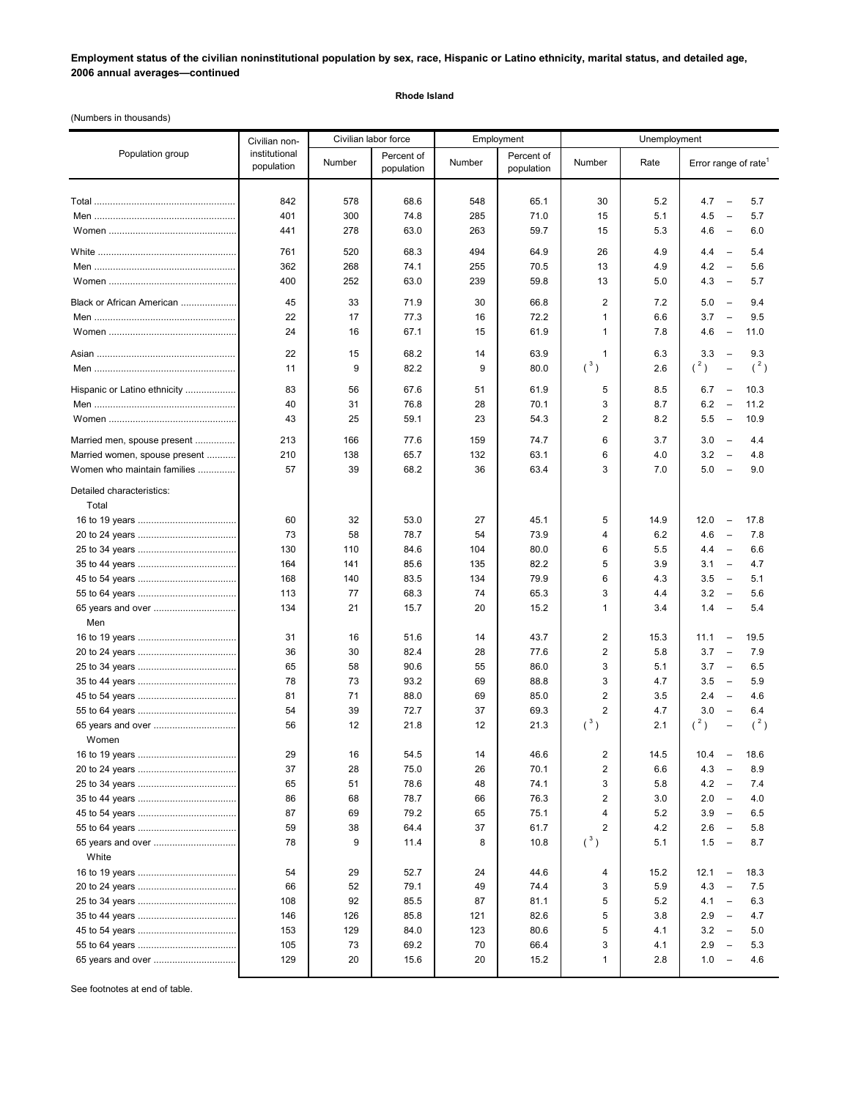**Employment status of the civilian noninstitutional population by sex, race, Hispanic or Latino ethnicity, marital status, and detailed age, 2006 annual averages—continued**

## **Rhode Island**

(Numbers in thousands)

|                                    | Civilian non-               | Civilian labor force<br>Employment |                          | Unemployment |                          |                         |      |                                                      |
|------------------------------------|-----------------------------|------------------------------------|--------------------------|--------------|--------------------------|-------------------------|------|------------------------------------------------------|
| Population group                   | institutional<br>population | Number                             | Percent of<br>population | Number       | Percent of<br>population | Number                  | Rate | Error range of rate <sup>1</sup>                     |
|                                    |                             |                                    |                          |              |                          |                         |      | $\overline{a}$                                       |
|                                    | 842                         | 578                                | 68.6                     | 548          | 65.1                     | 30                      | 5.2  | 4.7<br>5.7                                           |
|                                    | 401                         | 300                                | 74.8                     | 285          | 71.0                     | 15                      | 5.1  | 4.5<br>5.7<br>$\overline{\phantom{m}}$               |
|                                    | 441                         | 278                                | 63.0                     | 263          | 59.7                     | 15                      | 5.3  | 4.6<br>6.0<br>$\overline{\phantom{a}}$               |
|                                    | 761                         | 520                                | 68.3                     | 494          | 64.9                     | 26                      | 4.9  | 4.4<br>5.4<br>$\overline{\phantom{a}}$               |
|                                    | 362                         | 268                                | 74.1                     | 255          | 70.5                     | 13                      | 4.9  | 4.2<br>5.6<br>$\overline{\phantom{a}}$               |
|                                    | 400                         | 252                                | 63.0                     | 239          | 59.8                     | 13                      | 5.0  | 4.3<br>5.7<br>$\overline{\phantom{0}}$               |
| Black or African American          | 45                          | 33                                 | 71.9                     | 30           | 66.8                     | $\overline{\mathbf{c}}$ | 7.2  | 5.0<br>9.4<br>$\overline{\phantom{0}}$               |
|                                    | 22                          | 17                                 | 77.3                     | 16           | 72.2                     | 1                       | 6.6  | 3.7<br>9.5<br>$\overline{\phantom{0}}$               |
|                                    | 24                          | 16                                 | 67.1                     | 15           | 61.9                     | 1                       | 7.8  | 4.6<br>11.0<br>$\overline{\phantom{a}}$              |
|                                    | 22                          | 15                                 | 68.2                     |              | 63.9                     |                         | 6.3  | 3.3<br>9.3<br>$\overline{\phantom{a}}$               |
|                                    | 11                          | 9                                  | 82.2                     | 14<br>9      | 80.0                     | 1<br>$(^3)$             | 2.6  | $(^2)$<br>$(^2)$<br>$\overline{\phantom{0}}$         |
|                                    |                             |                                    |                          |              |                          |                         |      |                                                      |
| Hispanic or Latino ethnicity       | 83                          | 56                                 | 67.6                     | 51           | 61.9                     | 5                       | 8.5  | 6.7<br>10.3<br>$\overline{\phantom{a}}$              |
|                                    | 40                          | 31                                 | 76.8                     | 28           | 70.1                     | 3                       | 8.7  | 6.2<br>11.2<br>$\overline{\phantom{a}}$              |
|                                    | 43                          | 25                                 | 59.1                     | 23           | 54.3                     | $\overline{2}$          | 8.2  | 5.5<br>10.9<br>$\qquad \qquad -$                     |
| Married men, spouse present        | 213                         | 166                                | 77.6                     | 159          | 74.7                     | 6                       | 3.7  | 3.0<br>4.4<br>$\overline{\phantom{a}}$               |
| Married women, spouse present      | 210                         | 138                                | 65.7                     | 132          | 63.1                     | 6                       | 4.0  | 3.2<br>4.8<br>$\overline{\phantom{a}}$               |
| Women who maintain families        | 57                          | 39                                 | 68.2                     | 36           | 63.4                     | 3                       | 7.0  | 5.0<br>9.0<br>$\overline{\phantom{a}}$               |
| Detailed characteristics:<br>Total |                             |                                    |                          |              |                          |                         |      |                                                      |
|                                    | 60                          | 32                                 | 53.0                     | 27           | 45.1                     | 5                       | 14.9 | 12.0<br>17.8<br>$\overline{\phantom{a}}$             |
|                                    | 73                          | 58                                 | 78.7                     | 54           | 73.9                     | 4                       | 6.2  | 7.8<br>4.6<br>$\overline{\phantom{a}}$               |
|                                    | 130                         | 110                                | 84.6                     | 104          | 80.0                     | 6                       | 5.5  | 4.4<br>6.6<br>$\qquad \qquad -$                      |
|                                    | 164                         | 141                                | 85.6                     | 135          | 82.2                     | 5                       | 3.9  | 3.1<br>4.7<br>$\overline{\phantom{a}}$               |
|                                    | 168                         | 140                                | 83.5                     | 134          | 79.9                     | 6                       | 4.3  | 3.5<br>5.1<br>$\overline{\phantom{a}}$               |
|                                    |                             |                                    |                          | 74           |                          | 3                       |      | $\overline{\phantom{0}}$                             |
|                                    | 113                         | 77<br>21                           | 68.3                     |              | 65.3<br>15.2             | 1                       | 4.4  | 3.2<br>5.6<br>1.4<br>5.4<br>$\overline{\phantom{0}}$ |
| Men                                | 134                         |                                    | 15.7                     | 20           |                          |                         | 3.4  |                                                      |
|                                    | 31                          | 16                                 | 51.6                     | 14           | 43.7                     | 2                       | 15.3 | 11.1<br>$\qquad \qquad -$<br>19.5                    |
|                                    | 36                          | 30                                 | 82.4                     | 28           | 77.6                     | $\overline{\mathbf{c}}$ | 5.8  | 3.7<br>7.9<br>$\overline{\phantom{a}}$               |
|                                    | 65                          | 58                                 | 90.6                     | 55           | 86.0                     | 3                       | 5.1  | 3.7<br>6.5<br>$\overline{\phantom{a}}$               |
|                                    | 78                          | 73                                 | 93.2                     | 69           | 88.8                     | 3                       | 4.7  | 3.5<br>5.9<br>$\overline{\phantom{a}}$               |
|                                    | 81                          | 71                                 | 88.0                     | 69           | 85.0                     | $\overline{2}$          | 3.5  | 2.4<br>4.6<br>$\overline{\phantom{m}}$               |
|                                    | 54                          | 39                                 | 72.7                     | 37           | 69.3                     | $\overline{2}$          | 4.7  | 3.0<br>6.4<br>$\overline{\phantom{a}}$               |
| 65 years and over                  | 56                          | 12                                 | 21.8                     | 12           | 21.3                     | $(^3)$                  | 2.1  | (2)<br>$(^2)$                                        |
| Women                              |                             |                                    |                          |              |                          |                         |      |                                                      |
|                                    | 29                          | 16                                 | 54.5                     | 14           | 46.6                     | 2                       | 14.5 | 10.4<br>$\overline{a}$<br>18.6                       |
|                                    | 37                          | 28                                 | 75.0                     | 26           | 70.1                     | $\overline{2}$          | 6.6  | 4.3<br>8.9<br>$\overline{\phantom{0}}$               |
|                                    | 65                          | 51                                 | 78.6                     | 48           | 74.1                     | 3                       | 5.8  | 4.2<br>7.4<br>$\overline{\phantom{a}}$               |
|                                    | 86                          | 68                                 | 78.7                     | 66           | 76.3                     | 2                       | 3.0  | 2.0<br>4.0<br>$\overline{\phantom{a}}$               |
|                                    | 87                          | 69                                 | 79.2                     | 65           | 75.1                     | 4                       | 5.2  | 3.9<br>$\overline{\phantom{a}}$<br>6.5               |
|                                    | 59                          | 38                                 | 64.4                     | 37           | 61.7                     | 2                       | 4.2  | 2.6<br>5.8<br>$\overline{\phantom{a}}$               |
|                                    | 78                          | 9                                  | 11.4                     | 8            | 10.8                     | $({}^3)$                | 5.1  | 1.5<br>8.7<br>$\overline{\phantom{a}}$               |
| White                              |                             |                                    |                          |              |                          |                         |      |                                                      |
|                                    | 54                          | 29                                 | 52.7                     | 24           | 44.6                     | 4                       | 15.2 | 12.1<br>18.3<br>$\overline{\phantom{a}}$             |
|                                    | 66                          | 52                                 | 79.1                     | 49           | 74.4                     | 3                       | 5.9  | 4.3<br>7.5<br>$\overline{\phantom{0}}$               |
|                                    | 108                         | 92                                 | 85.5                     | 87           | 81.1                     | 5                       | 5.2  | 4.1<br>6.3<br>$\qquad \qquad -$                      |
|                                    | 146                         | 126                                | 85.8                     | 121          | 82.6                     | 5                       | 3.8  | 2.9<br>4.7<br>$\overline{\phantom{a}}$               |
|                                    | 153                         | 129                                | 84.0                     | 123          | 80.6                     | 5                       | 4.1  | 3.2<br>5.0<br>$\overline{\phantom{a}}$               |
|                                    | 105                         | 73                                 | 69.2                     | 70           | 66.4                     | 3                       | 4.1  | 2.9<br>5.3<br>$\overline{\phantom{m}}$               |
| 65 years and over                  | 129                         | 20                                 | 15.6                     | 20           | 15.2                     | 1                       | 2.8  | 1.0<br>4.6<br>$\overline{\phantom{0}}$               |
|                                    |                             |                                    |                          |              |                          |                         |      |                                                      |

See footnotes at end of table.